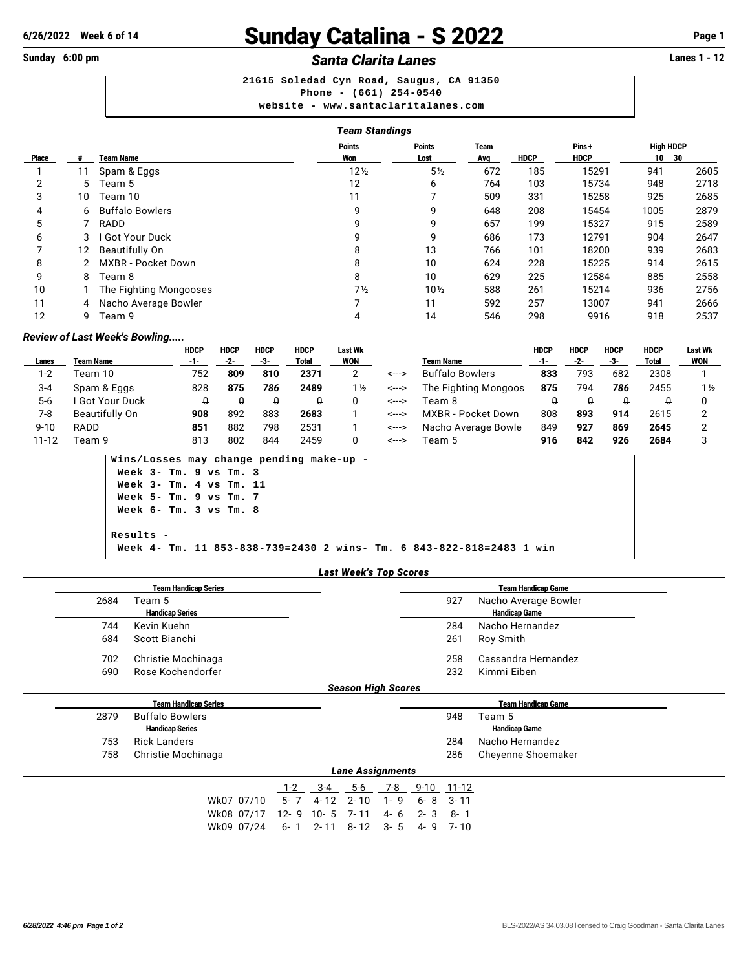## **6/26/2022** Week 6 of 14 **Sunday Catalina - S 2022** Page 1<br>
Sunday 6:00 pm<br>
Santa Clarita Lanes

## **Sunday 6:00 pm Santa Clarita Lanes Santa Clarita Lanes**

**21615 Soledad Cyn Road, Saugus, CA 91350 Phone - (661) 254-0540 website - <www.santaclaritalanes.com>**

|       |    |                        | <b>Team Standings</b> |                       |             |             |                      |                        |      |  |  |  |  |
|-------|----|------------------------|-----------------------|-----------------------|-------------|-------------|----------------------|------------------------|------|--|--|--|--|
| Place |    | Team Name              | <b>Points</b><br>Won  | <b>Points</b><br>Lost | Team<br>Avg | <b>HDCP</b> | Pins+<br><b>HDCP</b> | <b>High HDCP</b><br>10 | 30   |  |  |  |  |
|       | 11 | Spam & Eggs            | 12 <sub>2</sub>       | $5\frac{1}{2}$        | 672         | 185         | 15291                | 941                    | 2605 |  |  |  |  |
| 2     | 5. | 「eam 5                 | 12                    | 6                     | 764         | 103         | 15734                | 948                    | 2718 |  |  |  |  |
| 3     | 10 | Team 10                | 11                    |                       | 509         | 331         | 15258                | 925                    | 2685 |  |  |  |  |
| 4     |    | 6 Buffalo Bowlers      | 9                     | 9                     | 648         | 208         | 15454                | 1005                   | 2879 |  |  |  |  |
| 5     |    | RADD                   | 9                     | 9                     | 657         | 199         | 15327                | 915                    | 2589 |  |  |  |  |
| 6     | 3  | <b>Got Your Duck</b>   | 9                     | 9                     | 686         | 173         | 12791                | 904                    | 2647 |  |  |  |  |
|       | 12 | Beautifully On         | 8                     | 13                    | 766         | 101         | 18200                | 939                    | 2683 |  |  |  |  |
| 8     |    | MXBR - Pocket Down     | 8                     | 10                    | 624         | 228         | 15225                | 914                    | 2615 |  |  |  |  |
| 9     | 8  | Team 8                 | 8                     | 10                    | 629         | 225         | 12584                | 885                    | 2558 |  |  |  |  |
| 10    |    | The Fighting Mongooses | 7 <sub>2</sub>        | $10\frac{1}{2}$       | 588         | 261         | 15214                | 936                    | 2756 |  |  |  |  |
| 11    |    | 4 Nacho Average Bowler |                       | 11                    | 592         | 257         | 13007                | 941                    | 2666 |  |  |  |  |
| 12    | 9  | Team 9                 | 4                     | 14                    | 546         | 298         | 9916                 | 918                    | 2537 |  |  |  |  |

## *Review of Last Week's Bowling.....*

|           |                  | HDCP | <b>HDCP</b> | <b>HDCP</b> | <b>HDCP</b>  | Last Wk        |       |                      | HDCP | <b>HDCP</b> | <b>HDCP</b> | <b>HDCP</b> | <b>Last Wk</b> |
|-----------|------------------|------|-------------|-------------|--------------|----------------|-------|----------------------|------|-------------|-------------|-------------|----------------|
| Lanes     | <b>Team Name</b> |      | -2-         | -3-         | <b>Total</b> | WON            |       | <b>Team Name</b>     | -1-  |             | -3-         | Total       | <b>WON</b>     |
| $1 - 2$   | Team 10          | 752  | 809         | 810         | 2371         |                | <---> | Buffalo Bowlers      | 833  | 793         | 682         | 2308        |                |
| 3-4       | Spam & Eggs      | 828  | 875         | 786         | 2489         | $1\frac{1}{2}$ | <---> | The Fighting Mongoos | 875  | 794         | 786         | 2455        | $1\frac{1}{2}$ |
| $5-6$     | Got Your Duck    |      |             | ₩           |              |                | <---> | Геат 8               |      |             |             |             |                |
| 7-8       | Beautifully On   | 908  | 892         | 883         | 2683         |                | <---> | MXBR - Pocket Down   | 808  | 893         | 914         | 2615        |                |
| $9 - 10$  | RADD             | 851  | 882         | 798         | 2531         |                | <---> | Nacho Average Bowle  | 849  | 927         | 869         | 2645        |                |
| $11 - 12$ | Team 9           | 813  | 802         | 844         | 2459         |                | <---> | Геаm 5               | 916  | 842         | 926         | 2684        |                |

**Wins/Losses may change pending make-up - Week 3- Tm. 9 vs Tm. 3 Week 3- Tm. 4 vs Tm. 11 Week 5- Tm. 9 vs Tm. 7 Week 6- Tm. 3 vs Tm. 8 Results - Week 4- Tm. 11 853-838-739=2430 2 wins- Tm. 6 843-822-818=2483 1 win**

## *Last Week's Top Scores*

|      | <b>Team Handicap Series</b> |                           | <b>Team Handicap Game</b> |                           |  |
|------|-----------------------------|---------------------------|---------------------------|---------------------------|--|
| 2684 | Team 5                      |                           | 927                       | Nacho Average Bowler      |  |
|      | <b>Handicap Series</b>      |                           |                           | <b>Handicap Game</b>      |  |
| 744  | Kevin Kuehn                 |                           | 284                       | Nacho Hernandez           |  |
| 684  | Scott Bianchi               |                           | 261                       | Roy Smith                 |  |
| 702  | Christie Mochinaga          |                           | 258                       | Cassandra Hernandez       |  |
| 690  | Rose Kochendorfer           |                           | 232                       | Kimmi Eiben               |  |
|      |                             | <b>Season High Scores</b> |                           |                           |  |
|      | <b>Team Handicap Series</b> |                           |                           | <b>Team Handicap Game</b> |  |
| 2879 | <b>Buffalo Bowlers</b>      |                           | 948                       | Team 5                    |  |
|      | <b>Handicap Series</b>      |                           |                           | <b>Handicap Game</b>      |  |
| 753  | <b>Rick Landers</b>         |                           | 284                       | Nacho Hernandez           |  |

| 758 | Christie Mochinaga |                         | 286 | Cheyenne Shoemaker |
|-----|--------------------|-------------------------|-----|--------------------|
|     |                    | <b>Lane Assignments</b> |     |                    |

|  |                                       | 1-2 3-4 5-6 7-8 9-10 11-12 |  |  |
|--|---------------------------------------|----------------------------|--|--|
|  | Wk07 07/10 5-7 4-12 2-10 1-9 6-8 3-11 |                            |  |  |
|  | Wk08 07/17 12-9 10-5 7-11 4-6 2-3 8-1 |                            |  |  |
|  | Wk09 07/24 6-1 2-11 8-12 3-5 4-9 7-10 |                            |  |  |